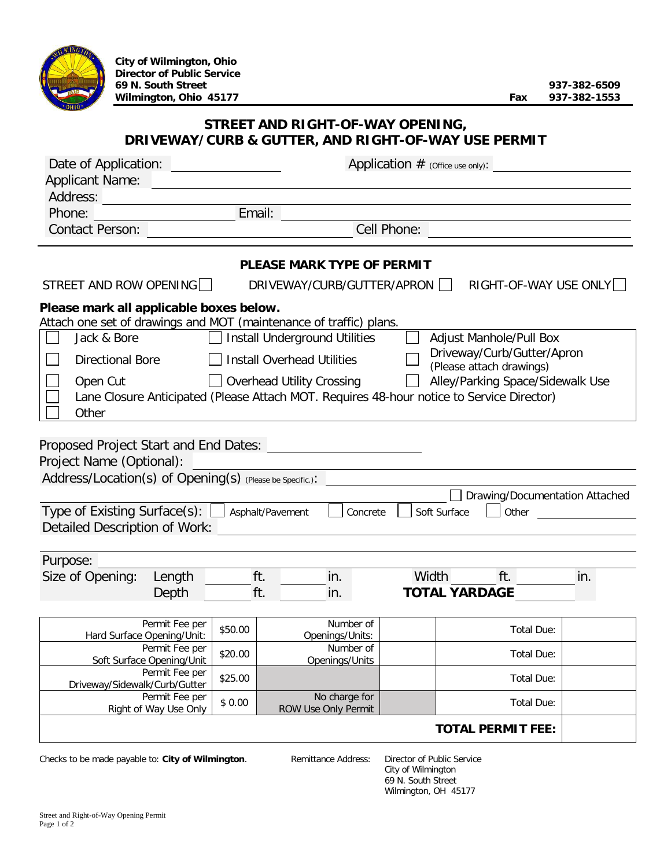| <b>Director of Public Service</b><br>69 N. South Street<br>Wilmington, Ohio 45177                                                                                                              |         |                                                                                         |           |                                                  | Fax                              | 937-382-6509<br>937-382-1553   |
|------------------------------------------------------------------------------------------------------------------------------------------------------------------------------------------------|---------|-----------------------------------------------------------------------------------------|-----------|--------------------------------------------------|----------------------------------|--------------------------------|
|                                                                                                                                                                                                |         | STREET AND RIGHT-OF-WAY OPENING,<br>DRIVEWAY/CURB & GUTTER, AND RIGHT-OF-WAY USE PERMIT |           |                                                  |                                  |                                |
| Date of Application:                                                                                                                                                                           |         |                                                                                         |           | Application $#$ (Office use only):               |                                  |                                |
| <b>Applicant Name:</b>                                                                                                                                                                         |         |                                                                                         |           |                                                  |                                  |                                |
| Address:                                                                                                                                                                                       |         |                                                                                         |           |                                                  |                                  |                                |
| Phone:                                                                                                                                                                                         |         | Email:                                                                                  |           |                                                  |                                  |                                |
| <b>Contact Person:</b>                                                                                                                                                                         |         |                                                                                         |           | Cell Phone:                                      |                                  |                                |
|                                                                                                                                                                                                |         | <b>PLEASE MARK TYPE OF PERMIT</b>                                                       |           |                                                  |                                  |                                |
| STREET AND ROW OPENING                                                                                                                                                                         |         | DRIVEWAY/CURB/GUTTER/APRON                                                              |           |                                                  |                                  | RIGHT-OF-WAY USE ONLY          |
| Please mark all applicable boxes below.<br>Attach one set of drawings and MOT (maintenance of traffic) plans.                                                                                  |         |                                                                                         |           |                                                  |                                  |                                |
| <b>Install Underground Utilities</b><br>Jack & Bore<br>Adjust Manhole/Pull Box<br>Driveway/Curb/Gutter/Apron                                                                                   |         |                                                                                         |           |                                                  |                                  |                                |
| <b>Install Overhead Utilities</b><br><b>Directional Bore</b><br>(Please attach drawings)                                                                                                       |         |                                                                                         |           |                                                  |                                  |                                |
| Open Cut<br>Lane Closure Anticipated (Please Attach MOT. Requires 48-hour notice to Service Director)<br>Other                                                                                 |         | $\Box$ Overhead Utility Crossing                                                        |           |                                                  | Alley/Parking Space/Sidewalk Use |                                |
| Proposed Project Start and End Dates:<br>Project Name (Optional):<br>Address/Location(s) of Opening(s) (Please be Specific.):<br>Type of Existing Surface(s):<br>Detailed Description of Work: |         | Asphalt/Pavement                                                                        | Concrete  | Soft Surface                                     | Other                            | Drawing/Documentation Attached |
| Purpose:                                                                                                                                                                                       |         |                                                                                         |           |                                                  |                                  |                                |
| Size of Opening:<br>Length<br>Depth                                                                                                                                                            |         | ft.<br>in.<br>ft.<br>in.                                                                |           | Width<br><b>TOTAL YARDAGE</b>                    | ft.                              | in.                            |
| Permit Fee per<br>Hard Surface Opening/Unit:                                                                                                                                                   | \$50.00 | Openings/Units:                                                                         | Number of |                                                  | Total Due:                       |                                |
| Permit Fee per<br>Soft Surface Opening/Unit                                                                                                                                                    | \$20.00 | Number of<br>Openings/Units                                                             |           |                                                  | Total Due:                       |                                |
| Permit Fee per<br>Driveway/Sidewalk/Curb/Gutter                                                                                                                                                | \$25.00 |                                                                                         |           |                                                  | Total Due:                       |                                |
| Permit Fee per<br>\$0.00<br>Right of Way Use Only                                                                                                                                              |         | No charge for<br>ROW Use Only Permit                                                    |           |                                                  | Total Due:                       |                                |
|                                                                                                                                                                                                |         |                                                                                         |           |                                                  | <b>TOTAL PERMIT FEE:</b>         |                                |
| Checks to be made payable to: City of Wilmington.                                                                                                                                              |         | Remittance Address:                                                                     |           | Director of Public Service<br>City of Wilmington |                                  |                                |

69 N. South Street Wilmington, OH 45177

**City of Wilmington, Ohio**

**MINGRA**